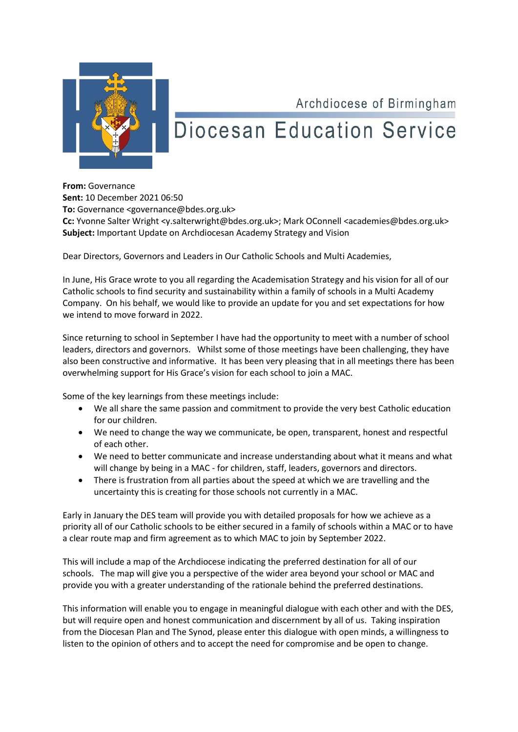

## Archdiocese of Birmingham **Diocesan Education Service**

**From:** Governance **Sent:** 10 December 2021 06:50 **To:** Governance <governance@bdes.org.uk> Cc: Yvonne Salter Wright <y.salterwright@bdes.org.uk>; Mark OConnell <academies@bdes.org.uk> **Subject:** Important Update on Archdiocesan Academy Strategy and Vision

Dear Directors, Governors and Leaders in Our Catholic Schools and Multi Academies,

In June, His Grace wrote to you all regarding the Academisation Strategy and his vision for all of our Catholic schools to find security and sustainability within a family of schools in a Multi Academy Company. On his behalf, we would like to provide an update for you and set expectations for how we intend to move forward in 2022.

Since returning to school in September I have had the opportunity to meet with a number of school leaders, directors and governors. Whilst some of those meetings have been challenging, they have also been constructive and informative. It has been very pleasing that in all meetings there has been overwhelming support for His Grace's vision for each school to join a MAC.

Some of the key learnings from these meetings include:

- We all share the same passion and commitment to provide the very best Catholic education for our children.
- We need to change the way we communicate, be open, transparent, honest and respectful of each other.
- We need to better communicate and increase understanding about what it means and what will change by being in a MAC - for children, staff, leaders, governors and directors.
- There is frustration from all parties about the speed at which we are travelling and the uncertainty this is creating for those schools not currently in a MAC.

Early in January the DES team will provide you with detailed proposals for how we achieve as a priority all of our Catholic schools to be either secured in a family of schools within a MAC or to have a clear route map and firm agreement as to which MAC to join by September 2022.

This will include a map of the Archdiocese indicating the preferred destination for all of our schools. The map will give you a perspective of the wider area beyond your school or MAC and provide you with a greater understanding of the rationale behind the preferred destinations.

This information will enable you to engage in meaningful dialogue with each other and with the DES, but will require open and honest communication and discernment by all of us. Taking inspiration from the Diocesan Plan and The Synod, please enter this dialogue with open minds, a willingness to listen to the opinion of others and to accept the need for compromise and be open to change.